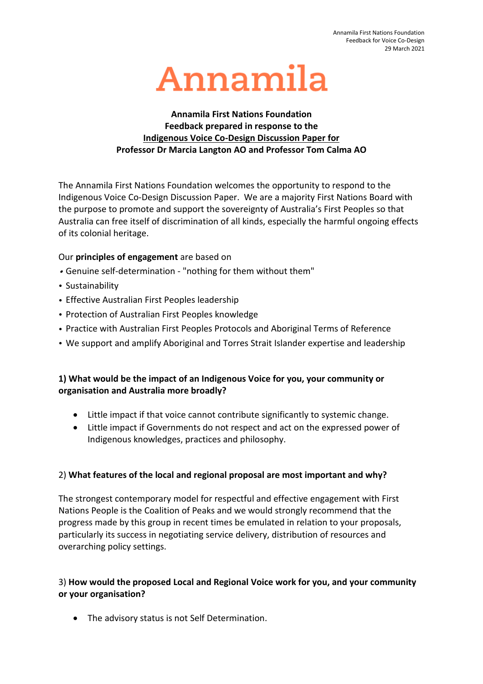

### **Annamila First Nations Foundation Feedback prepared in response to the Indigenous Voice Co-Design Discussion Paper for Professor Dr Marcia Langton AO and Professor Tom Calma AO**

The Annamila First Nations Foundation welcomes the opportunity to respond to the Indigenous Voice Co-Design Discussion Paper. We are a majority First Nations Board with the purpose to promote and support the sovereignty of Australia's First Peoples so that Australia can free itself of discrimination of all kinds, especially the harmful ongoing effects of its colonial heritage.

#### Our **principles of engagement** are based on

- Genuine self-determination "nothing for them without them"
- Sustainability
- Effective Australian First Peoples leadership
- Protection of Australian First Peoples knowledge
- Practice with Australian First Peoples Protocols and Aboriginal Terms of Reference
- We support and amplify Aboriginal and Torres Strait Islander expertise and leadership

# **1) What would be the impact of an Indigenous Voice for you, your community or organisation and Australia more broadly?**

- Little impact if that voice cannot contribute significantly to systemic change.
- Little impact if Governments do not respect and act on the expressed power of Indigenous knowledges, practices and philosophy.

## 2) **What features of the local and regional proposal are most important and why?**

The strongest contemporary model for respectful and effective engagement with First Nations People is the Coalition of Peaks and we would strongly recommend that the progress made by this group in recent times be emulated in relation to your proposals, particularly its success in negotiating service delivery, distribution of resources and overarching policy settings.

## 3) **How would the proposed Local and Regional Voice work for you, and your community or your organisation?**

• The advisory status is not Self Determination.